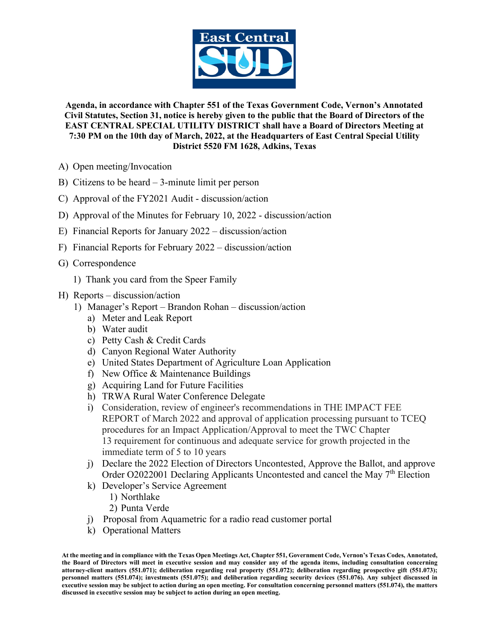

**Agenda, in accordance with Chapter 551 of the Texas Government Code, Vernon's Annotated Civil Statutes, Section 31, notice is hereby given to the public that the Board of Directors of the EAST CENTRAL SPECIAL UTILITY DISTRICT shall have a Board of Directors Meeting at 7:30 PM on the 10th day of March, 2022, at the Headquarters of East Central Special Utility District 5520 FM 1628, Adkins, Texas**

- A) Open meeting/Invocation
- B) Citizens to be heard 3-minute limit per person
- C) Approval of the FY2021 Audit discussion/action
- D) Approval of the Minutes for February 10, 2022 discussion/action
- E) Financial Reports for January 2022 discussion/action
- F) Financial Reports for February 2022 discussion/action
- G) Correspondence
	- 1) Thank you card from the Speer Family
- H) Reports discussion/action
	- 1) Manager's Report Brandon Rohan discussion/action
		- a) Meter and Leak Report
		- b) Water audit
		- c) Petty Cash & Credit Cards
		- d) Canyon Regional Water Authority
		- e) United States Department of Agriculture Loan Application
		- f) New Office & Maintenance Buildings
		- g) Acquiring Land for Future Facilities
		- h) TRWA Rural Water Conference Delegate
		- i) Consideration, review of engineer's recommendations in THE IMPACT FEE REPORT of March 2022 and approval of application processing pursuant to TCEQ procedures for an Impact Application/Approval to meet the TWC Chapter 13 requirement for continuous and adequate service for growth projected in the immediate term of 5 to 10 years
		- j) Declare the 2022 Election of Directors Uncontested, Approve the Ballot, and approve Order O2022001 Declaring Applicants Uncontested and cancel the May 7<sup>th</sup> Election
		- k) Developer's Service Agreement
			- 1) Northlake
			- 2) Punta Verde
		- j) Proposal from Aquametric for a radio read customer portal
		- k) Operational Matters

**At the meeting and in compliance with the Texas Open Meetings Act, Chapter 551, Government Code, Vernon's Texas Codes, Annotated, the Board of Directors will meet in executive session and may consider any of the agenda items, including consultation concerning attorney-client matters (551.071); deliberation regarding real property (551.072); deliberation regarding prospective gift (551.073); personnel matters (551.074); investments (551.075); and deliberation regarding security devices (551.076). Any subject discussed in executive session may be subject to action during an open meeting. For consultation concerning personnel matters (551.074), the matters discussed in executive session may be subject to action during an open meeting.**